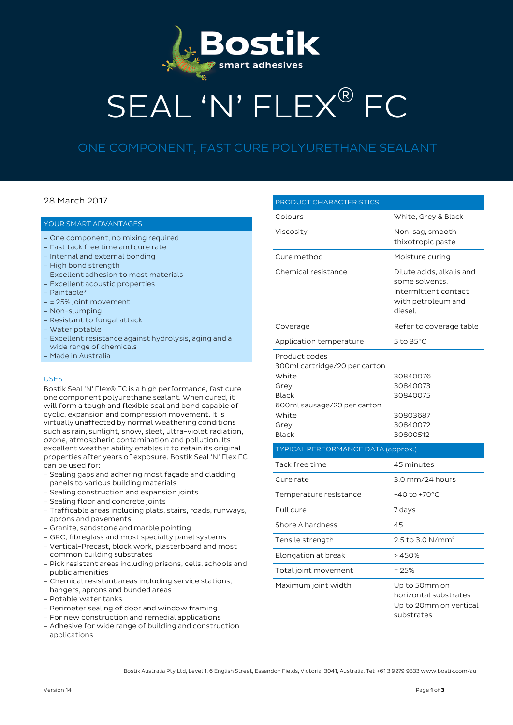

# SEAL 'N' FLEX® FC

# ONE COMPONENT, FAST CURE POLYURETHANE SEALANT

# 28 March 2017

## YOUR SMART ADVANTAGES

- − One component, no mixing required
- − Fast tack free time and cure rate
- − Internal and external bonding
- − High bond strength
- − Excellent adhesion to most materials
- − Excellent acoustic properties
- − Paintable\*
- − ± 25% joint movement
- − Non-slumping
- − Resistant to fungal attack
- − Water potable
- − Excellent resistance against hydrolysis, aging and a wide range of chemicals
- − Made in Australia

#### USES

Bostik Seal 'N' Flex® FC is a high performance, fast cure one component polyurethane sealant. When cured, it will form a tough and flexible seal and bond capable of cyclic, expansion and compression movement. It is virtually unaffected by normal weathering conditions such as rain, sunlight, snow, sleet, ultra-violet radiation, ozone, atmospheric contamination and pollution. Its excellent weather ability enables it to retain its original properties after years of exposure. Bostik Seal 'N' Flex FC can be used for:

- − Sealing gaps and adhering most façade and cladding panels to various building materials
- − Sealing construction and expansion joints
- − Sealing floor and concrete joints
- − Trafficable areas including plats, stairs, roads, runways, aprons and pavements
- − Granite, sandstone and marble pointing
- − GRC, fibreglass and most specialty panel systems
- − Vertical-Precast, block work, plasterboard and most common building substrates
- − Pick resistant areas including prisons, cells, schools and public amenities
- − Chemical resistant areas including service stations,
- hangers, aprons and bunded areas
- − Potable water tanks
- − Perimeter sealing of door and window framing
- − For new construction and remedial applications
- − Adhesive for wide range of building and construction applications

| PRODUCT CHARACTERISTICS                                                                                                                  |                                                                                                      |  |
|------------------------------------------------------------------------------------------------------------------------------------------|------------------------------------------------------------------------------------------------------|--|
| Colours                                                                                                                                  | White, Grey & Black                                                                                  |  |
| Viscosity                                                                                                                                | Non-sag, smooth<br>thixotropic paste                                                                 |  |
| Cure method                                                                                                                              | Moisture curing                                                                                      |  |
| Chemical resistance                                                                                                                      | Dilute acids, alkalis and<br>some solvents.<br>Intermittent contact<br>with petroleum and<br>diesel. |  |
| Coverage                                                                                                                                 | Refer to coverage table                                                                              |  |
| Application temperature                                                                                                                  | 5 to 35°C                                                                                            |  |
| Product codes<br>300ml cartridge/20 per carton<br>White<br>Grey<br>Black<br>600ml sausage/20 per carton<br>White<br>Grey<br><b>Black</b> | 30840076<br>30840073<br>30840075<br>30803687<br>30840072<br>30800512                                 |  |
| <b>TYPICAL PERFORMANCE DATA (approx.)</b>                                                                                                |                                                                                                      |  |
| Tack free time                                                                                                                           | 45 minutes                                                                                           |  |
| Cure rate                                                                                                                                | 3.0 mm/24 hours                                                                                      |  |
| Temperature resistance                                                                                                                   | $-40$ to $+70$ °C                                                                                    |  |
| Full cure                                                                                                                                | 7 days                                                                                               |  |
| Shore A hardness                                                                                                                         | 45                                                                                                   |  |
| Tensile strength                                                                                                                         | 2.5 to 3.0 N/mm <sup>2</sup>                                                                         |  |
| Elongation at break                                                                                                                      | >450%                                                                                                |  |
| Total joint movement                                                                                                                     | ±25%                                                                                                 |  |
| Maximum joint width                                                                                                                      | Up to 50mm on<br>horizontal substrates<br>Up to 20mm on vertical<br>substrates                       |  |

Bostik Australia Pty Ltd, Level 1, 6 English Street, Essendon Fields, Victoria, 3041, Australia. Tel: +61 3 9279 9333 www.bostik.com/au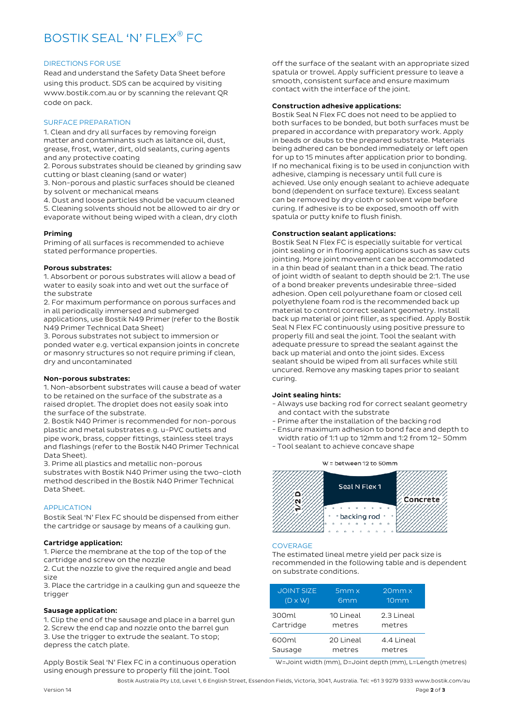# BOSTIK SEAL 'N' FLEX® FC

#### DIRECTIONS FOR USE

Read and understand the Safety Data Sheet before using this product. SDS can be acquired by visiting www.bostik.com.au or by scanning the relevant QR code on pack.

#### SURFACE PREPARATION

1. Clean and dry all surfaces by removing foreign matter and contaminants such as laitance oil, dust, grease, frost, water, dirt, old sealants, curing agents and any protective coating

2. Porous substrates should be cleaned by grinding saw cutting or blast cleaning (sand or water)

3. Non-porous and plastic surfaces should be cleaned by solvent or mechanical means

4. Dust and loose particles should be vacuum cleaned

5. Cleaning solvents should not be allowed to air dry or evaporate without being wiped with a clean, dry cloth

#### Priming

Priming of all surfaces is recommended to achieve stated performance properties.

#### Porous substrates:

1. Absorbent or porous substrates will allow a bead of water to easily soak into and wet out the surface of the substrate

2. For maximum performance on porous surfaces and in all periodically immersed and submerged applications, use Bostik N49 Primer (refer to the Bostik N49 Primer Technical Data Sheet)

3. Porous substrates not subject to immersion or ponded water e.g. vertical expansion joints in concrete or masonry structures so not require priming if clean, dry and uncontaminated

#### Non-porous substrates:

1. Non-absorbent substrates will cause a bead of water to be retained on the surface of the substrate as a raised droplet. The droplet does not easily soak into the surface of the substrate.

2. Bostik N40 Primer is recommended for non-porous plastic and metal substrates e.g. u-PVC outlets and pipe work, brass, copper fittings, stainless steel trays and flashings (refer to the Bostik N40 Primer Technical Data Sheet).

3. Prime all plastics and metallic non-porous substrates with Bostik N40 Primer using the two-cloth method described in the Bostik N40 Primer Technical Data Sheet.

## APPLICATION

Bostik Seal 'N' Flex FC should be dispensed from either the cartridge or sausage by means of a caulking gun.

#### Cartridge application:

1. Pierce the membrane at the top of the top of the cartridge and screw on the nozzle

2. Cut the nozzle to give the required angle and bead size

3. Place the cartridge in a caulking gun and squeeze the trigger

#### Sausage application:

1. Clip the end of the sausage and place in a barrel gun 2. Screw the end cap and nozzle onto the barrel gun 3. Use the trigger to extrude the sealant. To stop; depress the catch plate.

Apply Bostik Seal 'N' Flex FC in a continuous operation using enough pressure to properly fill the joint. Tool

off the surface of the sealant with an appropriate sized spatula or trowel. Apply sufficient pressure to leave a smooth, consistent surface and ensure maximum contact with the interface of the joint.

#### Construction adhesive applications:

Bostik Seal N Flex FC does not need to be applied to both surfaces to be bonded, but both surfaces must be prepared in accordance with preparatory work. Apply in beads or daubs to the prepared substrate. Materials being adhered can be bonded immediately or left open for up to 15 minutes after application prior to bonding. If no mechanical fixing is to be used in conjunction with adhesive, clamping is necessary until full cure is achieved. Use only enough sealant to achieve adequate bond (dependent on surface texture). Excess sealant can be removed by dry cloth or solvent wipe before curing. If adhesive is to be exposed, smooth off with spatula or putty knife to flush finish.

#### Construction sealant applications:

Bostik Seal N Flex FC is especially suitable for vertical joint sealing or in flooring applications such as saw cuts jointing. More joint movement can be accommodated in a thin bead of sealant than in a thick bead. The ratio of joint width of sealant to depth should be 2:1. The use of a bond breaker prevents undesirable three-sided adhesion. Open cell polyurethane foam or closed cell polyethylene foam rod is the recommended back up material to control correct sealant geometry. Install back up material or joint filler, as specified. Apply Bostik Seal N Flex FC continuously using positive pressure to properly fill and seal the joint. Tool the sealant with adequate pressure to spread the sealant against the back up material and onto the joint sides. Excess sealant should be wiped from all surfaces while still uncured. Remove any masking tapes prior to sealant curing.

#### Joint sealing hints:

- Always use backing rod for correct sealant geometry and contact with the substrate
- Prime after the installation of the backing rod
- Ensure maximum adhesion to bond face and depth to width ratio of 1:1 up to 12mm and 1:2 from 12– 50mm
- Tool sealant to achieve concave shape

# Seal N Flex 1 ة Concrete Ñ  $\begin{array}{ccccccccccccc} \circ & \circ & \circ & \circ & \circ \end{array}$ **backing rod**

W = between 12 to 50mm

#### COVERAGE

The estimated lineal metre yield per pack size is recommended in the following table and is dependent on substrate conditions.

| <b>JOINT SIZE</b> | 5mm x           | $20mm \times$    |
|-------------------|-----------------|------------------|
| $(D \times W)$    | 6 <sub>mm</sub> | 10 <sub>mm</sub> |
| 300ml             | 10 Lineal       | 2.3 Lineal       |
| Cartridge         | metres          | metres           |
| 600ml             | 20 Lineal       | 4.4 Lineal       |
| Sausage           | metres          | metres           |

W=Joint width (mm), D=Joint depth (mm), L=Length (metres)

Bostik Australia Pty Ltd, Level 1, 6 English Street, Essendon Fields, Victoria, 3041, Australia. Tel: +61 3 9279 9333 www.bostik.com/au